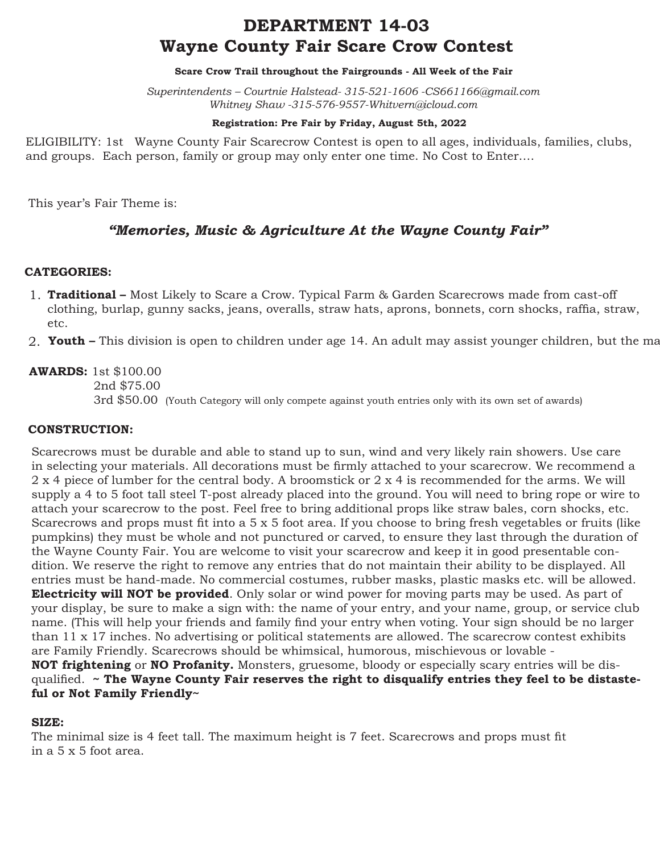# **DEPARTMENT 14-03 Wayne County Fair Scare Crow Contest**

#### **Scare Crow Trail throughout the Fairgrounds - All Week of the Fair**

*Superintendents – Courtnie Halstead- 315-521-1606 -CS661166@gmail.com Whitney Shaw -315-576-9557-Whitvern@icloud.com*

#### **Registration: Pre Fair by Friday, August 5th, 2022**

ELIGIBILITY: 1st Wayne County Fair Scarecrow Contest is open to all ages, individuals, families, clubs, and groups. Each person, family or group may only enter one time. No Cost to Enter….

This year's Fair Theme is:

# *"Memories, Music & Agriculture At the Wayne County Fair"*

## **CATEGORIES:**

- **Traditional** Most Likely to Scare a Crow. Typical Farm & Garden Scarecrows made from cast-off 1. clothing, burlap, gunny sacks, jeans, overalls, straw hats, aprons, bonnets, corn shocks, raffia, straw, etc.
- 2. **Youth –** This division is open to children under age 14. An adult may assist younger children, but the ma

**AWARDS:** 1st \$100.00 2nd \$75.00 3rd \$50.00 (Youth Category will only compete against youth entries only with its own set of awards)

### **CONSTRUCTION:**

Scarecrows must be durable and able to stand up to sun, wind and very likely rain showers. Use care in selecting your materials. All decorations must be firmly attached to your scarecrow. We recommend a 2 x 4 piece of lumber for the central body. A broomstick or 2 x 4 is recommended for the arms. We will supply a 4 to 5 foot tall steel T-post already placed into the ground. You will need to bring rope or wire to attach your scarecrow to the post. Feel free to bring additional props like straw bales, corn shocks, etc. Scarecrows and props must fit into a 5 x 5 foot area. If you choose to bring fresh vegetables or fruits (like pumpkins) they must be whole and not punctured or carved, to ensure they last through the duration of the Wayne County Fair. You are welcome to visit your scarecrow and keep it in good presentable condition. We reserve the right to remove any entries that do not maintain their ability to be displayed. All entries must be hand-made. No commercial costumes, rubber masks, plastic masks etc. will be allowed. **Electricity will NOT be provided**. Only solar or wind power for moving parts may be used. As part of your display, be sure to make a sign with: the name of your entry, and your name, group, or service club name. (This will help your friends and family find your entry when voting. Your sign should be no larger than 11 x 17 inches. No advertising or political statements are allowed. The scarecrow contest exhibits are Family Friendly. Scarecrows should be whimsical, humorous, mischievous or lovable - **NOT frightening** or **NO Profanity.** Monsters, gruesome, bloody or especially scary entries will be disqualified. **~ The Wayne County Fair reserves the right to disqualify entries they feel to be distaste-**

**ful or Not Family Friendly~**

### **SIZE:**

The minimal size is 4 feet tall. The maximum height is 7 feet. Scarecrows and props must fit in a 5 x 5 foot area.